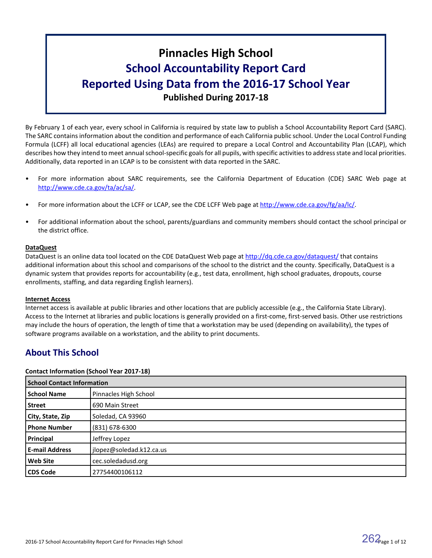# **Pinnacles High School School Accountability Report Card Reported Using Data from the 2016-17 School Year Published During 2017-18**

By February 1 of each year, every school in California is required by state law to publish a School Accountability Report Card (SARC). The SARC contains information about the condition and performance of each California public school. Under the Local Control Funding Formula (LCFF) all local educational agencies (LEAs) are required to prepare a Local Control and Accountability Plan (LCAP), which describes how they intend to meet annual school-specific goals for all pupils, with specific activities to address state and local priorities. Additionally, data reported in an LCAP is to be consistent with data reported in the SARC.

- For more information about SARC requirements, see the California Department of Education (CDE) SARC Web page at [http://www.cde.ca.gov/ta/ac/sa/.](http://www.cde.ca.gov/ta/ac/sa/)
- For more information about the LCFF or LCAP, see the CDE LCFF Web page at [http://www.cde.ca.gov/fg/aa/lc/.](http://www.cde.ca.gov/fg/aa/lc/)
- For additional information about the school, parents/guardians and community members should contact the school principal or the district office.

# **DataQuest**

DataQuest is an online data tool located on the CDE DataQuest Web page at <http://dq.cde.ca.gov/dataquest/> that contains additional information about this school and comparisons of the school to the district and the county. Specifically, DataQuest is a dynamic system that provides reports for accountability (e.g., test data, enrollment, high school graduates, dropouts, course enrollments, staffing, and data regarding English learners).

# **Internet Access**

Internet access is available at public libraries and other locations that are publicly accessible (e.g., the California State Library). Access to the Internet at libraries and public locations is generally provided on a first-come, first-served basis. Other use restrictions may include the hours of operation, the length of time that a workstation may be used (depending on availability), the types of software programs available on a workstation, and the ability to print documents.

# **About This School**

# **Contact Information (School Year 2017-18)**

| <b>School Contact Information</b> |                          |  |  |  |
|-----------------------------------|--------------------------|--|--|--|
| <b>School Name</b>                | Pinnacles High School    |  |  |  |
| <b>Street</b>                     | 690 Main Street          |  |  |  |
| City, State, Zip                  | Soledad, CA 93960        |  |  |  |
| <b>Phone Number</b>               | (831) 678-6300           |  |  |  |
| Principal                         | Jeffrey Lopez            |  |  |  |
| <b>E-mail Address</b>             | jlopez@soledad.k12.ca.us |  |  |  |
| <b>Web Site</b>                   | cec.soledadusd.org       |  |  |  |
| <b>CDS Code</b>                   | 27754400106112           |  |  |  |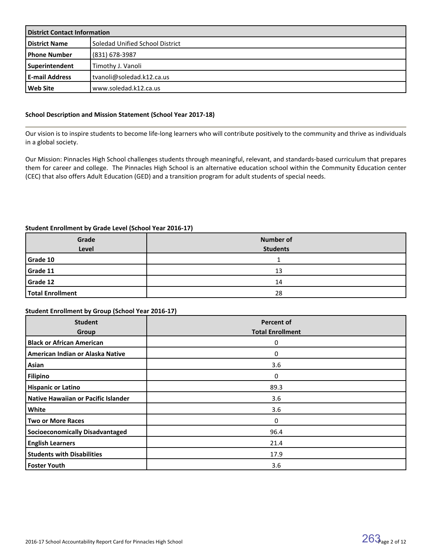| <b>District Contact Information</b> |                                 |  |  |
|-------------------------------------|---------------------------------|--|--|
| <b>District Name</b>                | Soledad Unified School District |  |  |
| <b>I Phone Number</b>               | (831) 678-3987                  |  |  |
| Superintendent                      | Timothy J. Vanoli               |  |  |
| l E-mail Address                    | tvanoli@soledad.k12.ca.us       |  |  |
| l Web Site                          | l www.soledad.k12.ca.us         |  |  |

# **School Description and Mission Statement (School Year 2017-18)**

Our vision is to inspire students to become life-long learners who will contribute positively to the community and thrive as individuals in a global society.

Our Mission: Pinnacles High School challenges students through meaningful, relevant, and standards-based curriculum that prepares them for career and college. The Pinnacles High School is an alternative education school within the Community Education center (CEC) that also offers Adult Education (GED) and a transition program for adult students of special needs.

#### **Student Enrollment by Grade Level (School Year 2016-17)**

| Grade                   | <b>Number of</b> |
|-------------------------|------------------|
| Level                   | <b>Students</b>  |
| Grade 10                |                  |
| Grade 11                | 13               |
| Grade 12                | 14               |
| <b>Total Enrollment</b> | 28               |

# **Student Enrollment by Group (School Year 2016-17)**

| <b>Student</b><br>Group                | <b>Percent of</b><br><b>Total Enrollment</b> |
|----------------------------------------|----------------------------------------------|
| <b>Black or African American</b>       | 0                                            |
| American Indian or Alaska Native       | 0                                            |
| Asian                                  | 3.6                                          |
| <b>Filipino</b>                        | 0                                            |
| <b>Hispanic or Latino</b>              | 89.3                                         |
| Native Hawaiian or Pacific Islander    | 3.6                                          |
| White                                  | 3.6                                          |
| <b>Two or More Races</b>               | 0                                            |
| <b>Socioeconomically Disadvantaged</b> | 96.4                                         |
| <b>English Learners</b>                | 21.4                                         |
| <b>Students with Disabilities</b>      | 17.9                                         |
| <b>Foster Youth</b>                    | 3.6                                          |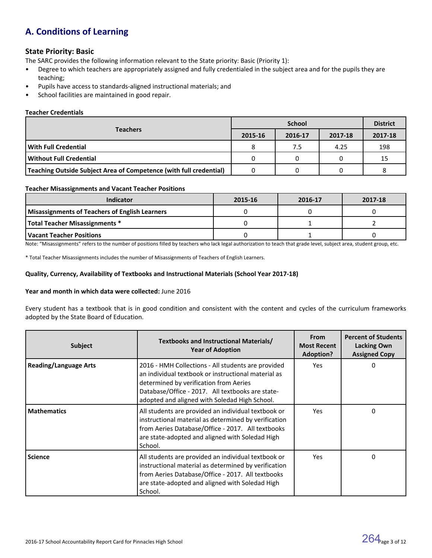# **A. Conditions of Learning**

# **State Priority: Basic**

The SARC provides the following information relevant to the State priority: Basic (Priority 1):

- Degree to which teachers are appropriately assigned and fully credentialed in the subject area and for the pupils they are teaching;
- Pupils have access to standards-aligned instructional materials; and
- School facilities are maintained in good repair.

# **Teacher Credentials**

|                                                                           |         | <b>District</b> |         |         |
|---------------------------------------------------------------------------|---------|-----------------|---------|---------|
| <b>Teachers</b>                                                           | 2015-16 | 2016-17         | 2017-18 | 2017-18 |
| l With Full Credential                                                    | 8       | 7.5             | 4.25    | 198     |
| l Without Full Credential                                                 |         |                 |         | 15      |
| <b>Teaching Outside Subject Area of Competence (with full credential)</b> |         |                 |         |         |

#### **Teacher Misassignments and Vacant Teacher Positions**

| Indicator                                             | 2015-16 | 2016-17 | 2017-18 |
|-------------------------------------------------------|---------|---------|---------|
| <b>Misassignments of Teachers of English Learners</b> |         |         |         |
| Total Teacher Misassignments *                        |         |         |         |
| Vacant Teacher Positions                              |         |         |         |

Note: "Misassignments" refers to the number of positions filled by teachers who lack legal authorization to teach that grade level, subject area, student group, etc.

\* Total Teacher Misassignments includes the number of Misassignments of Teachers of English Learners.

#### **Quality, Currency, Availability of Textbooks and Instructional Materials (School Year 2017-18)**

#### **Year and month in which data were collected:** June 2016

Every student has a textbook that is in good condition and consistent with the content and cycles of the curriculum frameworks adopted by the State Board of Education.

| <b>Subject</b>               | Textbooks and Instructional Materials/<br><b>Year of Adoption</b>                                                                                                                                                                                        | <b>From</b><br><b>Most Recent</b><br><b>Adoption?</b> | <b>Percent of Students</b><br><b>Lacking Own</b><br><b>Assigned Copy</b> |
|------------------------------|----------------------------------------------------------------------------------------------------------------------------------------------------------------------------------------------------------------------------------------------------------|-------------------------------------------------------|--------------------------------------------------------------------------|
| <b>Reading/Language Arts</b> | 2016 - HMH Collections - All students are provided<br>an individual textbook or instructional material as<br>determined by verification from Aeries<br>Database/Office - 2017. All textbooks are state-<br>adopted and aligned with Soledad High School. | Yes                                                   | 0                                                                        |
| <b>Mathematics</b>           | All students are provided an individual textbook or<br>instructional material as determined by verification<br>from Aeries Database/Office - 2017. All textbooks<br>are state-adopted and aligned with Soledad High<br>School.                           | Yes                                                   | 0                                                                        |
| <b>Science</b>               | All students are provided an individual textbook or<br>instructional material as determined by verification<br>from Aeries Database/Office - 2017. All textbooks<br>are state-adopted and aligned with Soledad High<br>School.                           | Yes                                                   | 0                                                                        |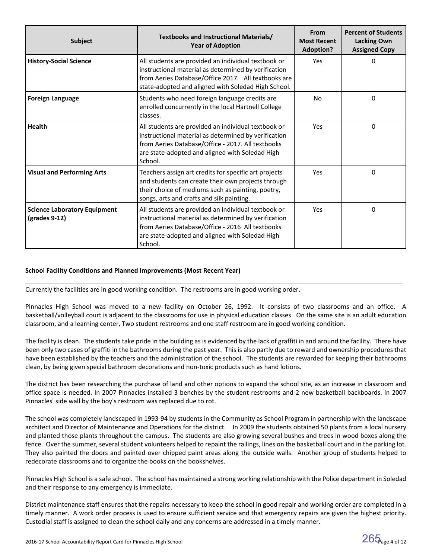| Subject                                              | Textbooks and Instructional Materials/<br><b>Year of Adoption</b>                                                                                                                                                              | From<br><b>Most Recent</b><br><b>Adoption?</b> | <b>Percent of Students</b><br><b>Lacking Own</b><br><b>Assigned Copy</b> |
|------------------------------------------------------|--------------------------------------------------------------------------------------------------------------------------------------------------------------------------------------------------------------------------------|------------------------------------------------|--------------------------------------------------------------------------|
| <b>History-Social Science</b>                        | All students are provided an individual textbook or<br>instructional material as determined by verification<br>from Aeries Database/Office 2017. All textbooks are<br>state-adopted and aligned with Soledad High School.      | <b>Yes</b>                                     | 0                                                                        |
| <b>Foreign Language</b>                              | Students who need foreign language credits are<br>enrolled concurrently in the local Hartnell College<br>classes.                                                                                                              | N <sub>o</sub>                                 | 0                                                                        |
| Health                                               | All students are provided an individual textbook or<br>instructional material as determined by verification<br>from Aeries Database/Office - 2017. All textbooks<br>are state-adopted and aligned with Soledad High<br>School. | Yes                                            | 0                                                                        |
| <b>Visual and Performing Arts</b>                    | Teachers assign art credits for specific art projects<br>and students can create their own projects through<br>their choice of mediums such as painting, poetry,<br>songs, arts and crafts and silk painting.                  | Yes                                            | 0                                                                        |
| <b>Science Laboratory Equipment</b><br>(grades 9-12) | All students are provided an individual textbook or<br>instructional material as determined by verification<br>from Aeries Database/Office - 2016 All textbooks<br>are state-adopted and aligned with Soledad High<br>School.  | Yes                                            | 0                                                                        |

#### **School Facility Conditions and Planned Improvements (Most Recent Year)**

Currently the facilities are in good working condition. The restrooms are in good working order.

Pinnacles High School was moved to a new facility on October 26, 1992. It consists of two classrooms and an office. A basketball/volleyball court is adjacent to the classrooms for use in physical education classes. On the same site is an adult education classroom, and a learning center, Two student restrooms and one staff restroom are in good working condition.

The facility is clean. The students take pride in the building as is evidenced by the lack of graffiti in and around the facility. There have been only two cases of graffiti in the bathrooms during the past year. This is also partly due to reward and ownership procedures that have been established by the teachers and the administration of the school. The students are rewarded for keeping their bathrooms clean, by being given special bathroom decorations and non-toxic products such as hand lotions.

The district has been researching the purchase of land and other options to expand the school site, as an increase in classroom and office space is needed. In 2007 Pinnacles installed 3 benches by the student restrooms and 2 new basketball backboards. In 2007 Pinnacles' side wall by the boy's restroom was replaced due to rot.

The school was completely landscaped in 1993-94 by students in the Community as School Program in partnership with the landscape architect and Director of Maintenance and Operations for the district. In 2009 the students obtained 50 plants from a local nursery and planted those plants throughout the campus. The students are also growing several bushes and trees in wood boxes along the fence. Over the summer, several student volunteers helped to repaint the railings, lines on the basketball court and in the parking lot. They also painted the doors and painted over chipped paint areas along the outside walls. Another group of students helped to redecorate classrooms and to organize the books on the bookshelves.

Pinnacles High School is a safe school. The school has maintained a strong working relationship with the Police department in Soledad and their response to any emergency is immediate.

District maintenance staff ensures that the repairs necessary to keep the school in good repair and working order are completed in a timely manner. A work order process is used to ensure sufficient service and that emergency repairs are given the highest priority. Custodial staff is assigned to clean the school daily and any concerns are addressed in a timely manner.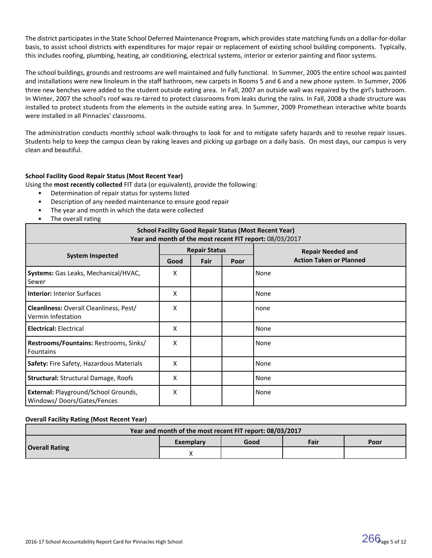The district participates in the State School Deferred Maintenance Program, which provides state matching funds on a dollar-for-dollar basis, to assist school districts with expenditures for major repair or replacement of existing school building components. Typically, this includes roofing, plumbing, heating, air conditioning, electrical systems, interior or exterior painting and floor systems.

The school buildings, grounds and restrooms are well maintained and fully functional. In Summer, 2005 the entire school was painted and installations were new linoleum in the staff bathroom, new carpets in Rooms 5 and 6 and a new phone system. In Summer, 2006 three new benches were added to the student outside eating area. In Fall, 2007 an outside wall was repaired by the girl's bathroom. In Winter, 2007 the school's roof was re-tarred to protect classrooms from leaks during the rains. In Fall, 2008 a shade structure was installed to protect students from the elements in the outside eating area. In Summer, 2009 Promethean interactive white boards were installed in all Pinnacles' classrooms.

The administration conducts monthly school walk-throughs to look for and to mitigate safety hazards and to resolve repair issues. Students help to keep the campus clean by raking leaves and picking up garbage on a daily basis. On most days, our campus is very clean and beautiful.

# **School Facility Good Repair Status (Most Recent Year)**

Using the **most recently collected** FIT data (or equivalent), provide the following:

- Determination of repair status for systems listed
- Description of any needed maintenance to ensure good repair
- The year and month in which the data were collected
- The overall rating

| <b>School Facility Good Repair Status (Most Recent Year)</b><br>Year and month of the most recent FIT report: 08/03/2017 |                      |      |      |                                |  |
|--------------------------------------------------------------------------------------------------------------------------|----------------------|------|------|--------------------------------|--|
|                                                                                                                          | <b>Repair Status</b> |      |      | <b>Repair Needed and</b>       |  |
| <b>System Inspected</b>                                                                                                  | Good                 | Fair | Poor | <b>Action Taken or Planned</b> |  |
| Systems: Gas Leaks, Mechanical/HVAC,<br>Sewer                                                                            | X                    |      |      | None                           |  |
| <b>Interior: Interior Surfaces</b>                                                                                       | X                    |      |      | None                           |  |
| <b>Cleanliness: Overall Cleanliness, Pest/</b><br>Vermin Infestation                                                     | X                    |      |      | none                           |  |
| <b>Electrical: Electrical</b>                                                                                            | X                    |      |      | None                           |  |
| Restrooms/Fountains: Restrooms, Sinks/<br><b>Fountains</b>                                                               | X                    |      |      | None                           |  |
| <b>Safety: Fire Safety, Hazardous Materials</b>                                                                          | X                    |      |      | None                           |  |
| <b>Structural: Structural Damage, Roofs</b>                                                                              | X                    |      |      | None                           |  |
| External: Playground/School Grounds,<br>Windows/Doors/Gates/Fences                                                       | X                    |      |      | None                           |  |

# **Overall Facility Rating (Most Recent Year)**

| Year and month of the most recent FIT report: 08/03/2017 |           |      |      |      |  |  |
|----------------------------------------------------------|-----------|------|------|------|--|--|
|                                                          | Exemplary | Good | Fair | Poor |  |  |
| <b>Overall Rating</b>                                    |           |      |      |      |  |  |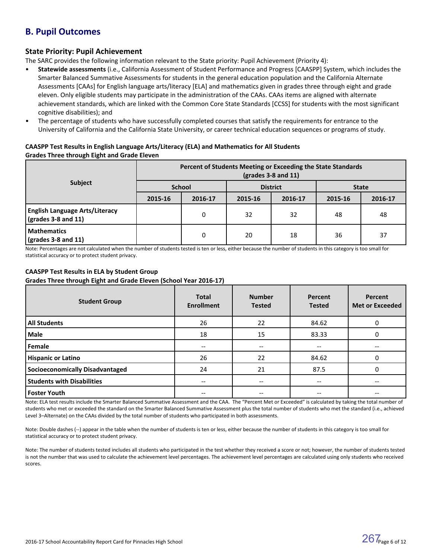# **B. Pupil Outcomes**

# **State Priority: Pupil Achievement**

The SARC provides the following information relevant to the State priority: Pupil Achievement (Priority 4):

- **Statewide assessments** (i.e., California Assessment of Student Performance and Progress [CAASPP] System, which includes the Smarter Balanced Summative Assessments for students in the general education population and the California Alternate Assessments [CAAs] for English language arts/literacy [ELA] and mathematics given in grades three through eight and grade eleven. Only eligible students may participate in the administration of the CAAs. CAAs items are aligned with alternate achievement standards, which are linked with the Common Core State Standards [CCSS] for students with the most significant cognitive disabilities); and
- The percentage of students who have successfully completed courses that satisfy the requirements for entrance to the University of California and the California State University, or career technical education sequences or programs of study.

# **CAASPP Test Results in English Language Arts/Literacy (ELA) and Mathematics for All Students Grades Three through Eight and Grade Eleven**

|                                                                            | Percent of Students Meeting or Exceeding the State Standards<br>$\left(\frac{\text{grades}}{3-8}\right)$ and 11) |         |                 |         |              |         |  |
|----------------------------------------------------------------------------|------------------------------------------------------------------------------------------------------------------|---------|-----------------|---------|--------------|---------|--|
| <b>Subject</b>                                                             | <b>School</b>                                                                                                    |         | <b>District</b> |         | <b>State</b> |         |  |
|                                                                            | 2015-16                                                                                                          | 2016-17 | 2015-16         | 2016-17 | 2015-16      | 2016-17 |  |
| <b>English Language Arts/Literacy</b><br>$\frac{1}{2}$ (grades 3-8 and 11) |                                                                                                                  | 0       | 32              | 32      | 48           | 48      |  |
| <b>Mathematics</b><br>$\sqrt{grades}$ 3-8 and 11)                          |                                                                                                                  | 0       | 20              | 18      | 36           | 37      |  |

Note: Percentages are not calculated when the number of students tested is ten or less, either because the number of students in this category is too small for statistical accuracy or to protect student privacy.

#### **CAASPP Test Results in ELA by Student Group Grades Three through Eight and Grade Eleven (School Year 2016-17)**

| <b>Student Group</b>                   | <b>Total</b><br><b>Enrollment</b>     | <b>Number</b><br><b>Tested</b>        | Percent<br><b>Tested</b> | Percent<br><b>Met or Exceeded</b> |
|----------------------------------------|---------------------------------------|---------------------------------------|--------------------------|-----------------------------------|
| <b>All Students</b>                    | 26                                    | 22                                    | 84.62                    | 0                                 |
| Male                                   | 18                                    | 15                                    | 83.33                    | 0                                 |
| Female                                 |                                       | $\hspace{0.05cm}$ – $\hspace{0.05cm}$ | $- -$                    |                                   |
| <b>Hispanic or Latino</b>              | 26                                    | 22                                    | 84.62                    | 0                                 |
| <b>Socioeconomically Disadvantaged</b> | 24                                    | 21                                    | 87.5                     | $\Omega$                          |
| <b>Students with Disabilities</b>      | $\hspace{0.05cm}$ – $\hspace{0.05cm}$ | $- -$                                 | $- -$                    | --                                |
| <b>Foster Youth</b>                    | --                                    | $\hspace{0.05cm}$ – $\hspace{0.05cm}$ | --                       |                                   |

Note: ELA test results include the Smarter Balanced Summative Assessment and the CAA. The "Percent Met or Exceeded" is calculated by taking the total number of students who met or exceeded the standard on the Smarter Balanced Summative Assessment plus the total number of students who met the standard (i.e., achieved Level 3–Alternate) on the CAAs divided by the total number of students who participated in both assessments.

Note: Double dashes (--) appear in the table when the number of students is ten or less, either because the number of students in this category is too small for statistical accuracy or to protect student privacy.

Note: The number of students tested includes all students who participated in the test whether they received a score or not; however, the number of students tested is not the number that was used to calculate the achievement level percentages. The achievement level percentages are calculated using only students who received scores.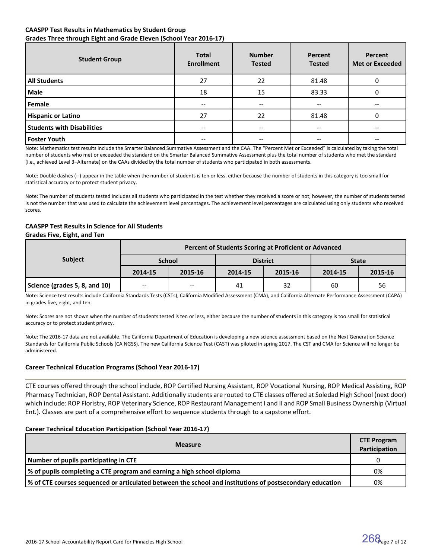# **CAASPP Test Results in Mathematics by Student Group Grades Three through Eight and Grade Eleven (School Year 2016-17)**

| <b>Student Group</b>              | <b>Total</b><br><b>Enrollment</b> | <b>Number</b><br><b>Tested</b>        | Percent<br><b>Tested</b> | Percent<br><b>Met or Exceeded</b> |
|-----------------------------------|-----------------------------------|---------------------------------------|--------------------------|-----------------------------------|
| <b>All Students</b>               | 27                                | 22                                    | 81.48                    |                                   |
| Male                              | 18                                | 15                                    | 83.33                    |                                   |
| Female                            | $- -$                             | $\qquad \qquad -$                     | --                       | --                                |
| <b>Hispanic or Latino</b>         | 27                                | 22                                    | 81.48                    |                                   |
| <b>Students with Disabilities</b> | $- -$                             | $\hspace{0.05cm}$ – $\hspace{0.05cm}$ | --                       | --                                |
| <b>Foster Youth</b>               | --                                | --                                    |                          |                                   |

Note: Mathematics test results include the Smarter Balanced Summative Assessment and the CAA. The "Percent Met or Exceeded" is calculated by taking the total number of students who met or exceeded the standard on the Smarter Balanced Summative Assessment plus the total number of students who met the standard (i.e., achieved Level 3–Alternate) on the CAAs divided by the total number of students who participated in both assessments.

Note: Double dashes (--) appear in the table when the number of students is ten or less, either because the number of students in this category is too small for statistical accuracy or to protect student privacy.

Note: The number of students tested includes all students who participated in the test whether they received a score or not; however, the number of students tested is not the number that was used to calculate the achievement level percentages. The achievement level percentages are calculated using only students who received scores.

# **CAASPP Test Results in Science for All Students**

#### **Grades Five, Eight, and Ten**

|                               | Percent of Students Scoring at Proficient or Advanced |               |         |                 |              |         |  |  |  |
|-------------------------------|-------------------------------------------------------|---------------|---------|-----------------|--------------|---------|--|--|--|
| <b>Subject</b>                |                                                       | <b>School</b> |         | <b>District</b> | <b>State</b> |         |  |  |  |
|                               | 2014-15                                               | 2015-16       | 2014-15 | 2015-16         | 2014-15      | 2015-16 |  |  |  |
| Science (grades 5, 8, and 10) | $\overline{\phantom{m}}$                              | $- -$         | 41      | 32              | 60           | 56      |  |  |  |

Note: Science test results include California Standards Tests (CSTs), California Modified Assessment (CMA), and California Alternate Performance Assessment (CAPA) in grades five, eight, and ten.

Note: Scores are not shown when the number of students tested is ten or less, either because the number of students in this category is too small for statistical accuracy or to protect student privacy.

Note: The 2016-17 data are not available. The California Department of Education is developing a new science assessment based on the Next Generation Science Standards for California Public Schools (CA NGSS). The new California Science Test (CAST) was piloted in spring 2017. The CST and CMA for Science will no longer be administered.

# **Career Technical Education Programs (School Year 2016-17)**

CTE courses offered through the school include, ROP Certified Nursing Assistant, ROP Vocational Nursing, ROP Medical Assisting, ROP Pharmacy Technician, ROP Dental Assistant. Additionally students are routed to CTE classes offered at Soledad High School (next door) which include: ROP Floristry, ROP Veterinary Science, ROP Restaurant Management I and II and ROP Small Business Ownership (Virtual Ent.). Classes are part of a comprehensive effort to sequence students through to a capstone effort.

# **Career Technical Education Participation (School Year 2016-17)**

| <b>Measure</b>                                                                                             |    |  |  |  |  |
|------------------------------------------------------------------------------------------------------------|----|--|--|--|--|
| Number of pupils participating in CTE                                                                      |    |  |  |  |  |
| % of pupils completing a CTE program and earning a high school diploma                                     |    |  |  |  |  |
| of CTE courses sequenced or articulated between the school and institutions of postsecondary education (%) | 0% |  |  |  |  |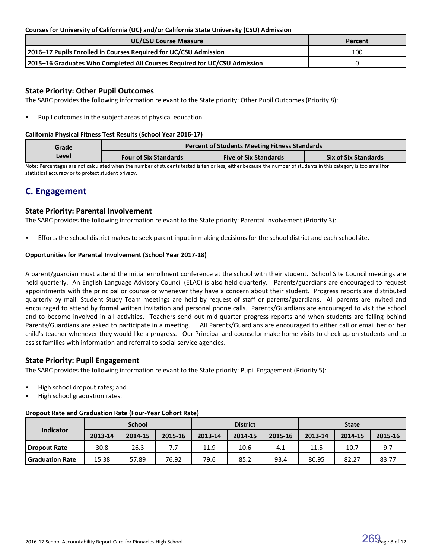# **Courses for University of California (UC) and/or California State University (CSU) Admission**

| <b>UC/CSU Course Measure</b>                                              | Percent |
|---------------------------------------------------------------------------|---------|
| 2016-17 Pupils Enrolled in Courses Required for UC/CSU Admission          | 100     |
| 2015-16 Graduates Who Completed All Courses Required for UC/CSU Admission |         |

# **State Priority: Other Pupil Outcomes**

The SARC provides the following information relevant to the State priority: Other Pupil Outcomes (Priority 8):

Pupil outcomes in the subject areas of physical education.

#### **California Physical Fitness Test Results (School Year 2016-17)**

| Grade | <b>Percent of Students Meeting Fitness Standards</b> |                              |                             |  |  |  |  |  |
|-------|------------------------------------------------------|------------------------------|-----------------------------|--|--|--|--|--|
| Level | <b>Four of Six Standards</b>                         | <b>Five of Six Standards</b> | <b>Six of Six Standards</b> |  |  |  |  |  |

Note: Percentages are not calculated when the number of students tested is ten or less, either because the number of students in this category is too small for statistical accuracy or to protect student privacy.

# **C. Engagement**

# **State Priority: Parental Involvement**

The SARC provides the following information relevant to the State priority: Parental Involvement (Priority 3):

• Efforts the school district makes to seek parent input in making decisions for the school district and each schoolsite.

# **Opportunities for Parental Involvement (School Year 2017-18)**

A parent/guardian must attend the initial enrollment conference at the school with their student. School Site Council meetings are held quarterly. An English Language Advisory Council (ELAC) is also held quarterly. Parents/guardians are encouraged to request appointments with the principal or counselor whenever they have a concern about their student. Progress reports are distributed quarterly by mail. Student Study Team meetings are held by request of staff or parents/guardians. All parents are invited and encouraged to attend by formal written invitation and personal phone calls. Parents/Guardians are encouraged to visit the school and to become involved in all activities. Teachers send out mid-quarter progress reports and when students are falling behind Parents/Guardians are asked to participate in a meeting. . All Parents/Guardians are encouraged to either call or email her or her child's teacher whenever they would like a progress. Our Principal and counselor make home visits to check up on students and to assist families with information and referral to social service agencies.

# **State Priority: Pupil Engagement**

The SARC provides the following information relevant to the State priority: Pupil Engagement (Priority 5):

- High school dropout rates; and
- High school graduation rates.

# **Dropout Rate and Graduation Rate (Four-Year Cohort Rate)**

|                        |         | <b>School</b> |         |         | <b>District</b> |         | <b>State</b> |         |         |
|------------------------|---------|---------------|---------|---------|-----------------|---------|--------------|---------|---------|
| <b>Indicator</b>       | 2013-14 | 2014-15       | 2015-16 | 2013-14 | 2014-15         | 2015-16 | 2013-14      | 2014-15 | 2015-16 |
| Dropout Rate           | 30.8    | 26.3          | 7.7     | 11.9    | 10.6            | 4.1     | 11.5         | 10.7    | 9.7     |
| <b>Graduation Rate</b> | 15.38   | 57.89         | 76.92   | 79.6    | 85.2            | 93.4    | 80.95        | 82.27   | 83.77   |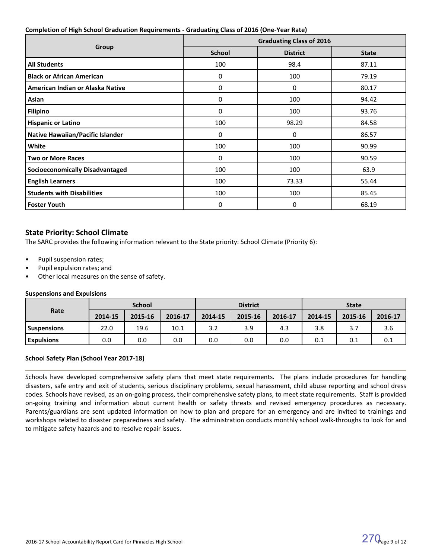#### **Completion of High School Graduation Requirements - Graduating Class of 2016 (One-Year Rate)**

|                                         | <b>Graduating Class of 2016</b> |                 |              |  |  |  |
|-----------------------------------------|---------------------------------|-----------------|--------------|--|--|--|
| Group                                   | <b>School</b>                   | <b>District</b> | <b>State</b> |  |  |  |
| <b>All Students</b>                     | 100                             | 98.4            | 87.11        |  |  |  |
| <b>Black or African American</b>        | 0                               | 100             | 79.19        |  |  |  |
| American Indian or Alaska Native        | 0                               | 0               | 80.17        |  |  |  |
| Asian                                   | 0                               | 100             | 94.42        |  |  |  |
| <b>Filipino</b>                         | 0                               | 100             | 93.76        |  |  |  |
| <b>Hispanic or Latino</b>               | 100                             | 98.29           | 84.58        |  |  |  |
| <b>Native Hawaiian/Pacific Islander</b> | 0                               | 0               | 86.57        |  |  |  |
| White                                   | 100                             | 100             | 90.99        |  |  |  |
| <b>Two or More Races</b>                | 0                               | 100             | 90.59        |  |  |  |
| <b>Socioeconomically Disadvantaged</b>  | 100                             | 100             | 63.9         |  |  |  |
| <b>English Learners</b>                 | 100                             | 73.33           | 55.44        |  |  |  |
| <b>Students with Disabilities</b>       | 100                             | 100             | 85.45        |  |  |  |
| <b>Foster Youth</b>                     | 0                               | 0               | 68.19        |  |  |  |

# **State Priority: School Climate**

The SARC provides the following information relevant to the State priority: School Climate (Priority 6):

- Pupil suspension rates;
- Pupil expulsion rates; and
- Other local measures on the sense of safety.

#### **Suspensions and Expulsions**

|                    | <b>School</b> |         |         | <b>District</b> |         |         | <b>State</b> |         |         |
|--------------------|---------------|---------|---------|-----------------|---------|---------|--------------|---------|---------|
| Rate               | 2014-15       | 2015-16 | 2016-17 | 2014-15         | 2015-16 | 2016-17 | 2014-15      | 2015-16 | 2016-17 |
| <b>Suspensions</b> | 22.0          | 19.6    | 10.1    | 3.2             | 3.9     | 4.3     | 3.8          | 3.7     | 3.6     |
| <b>Expulsions</b>  | 0.0           | 0.0     | 0.0     | 0.0             | 0.0     | 0.0     | 0.1          | 0.1     | 0.1     |

# **School Safety Plan (School Year 2017-18)**

Schools have developed comprehensive safety plans that meet state requirements. The plans include procedures for handling disasters, safe entry and exit of students, serious disciplinary problems, sexual harassment, child abuse reporting and school dress codes. Schools have revised, as an on-going process, their comprehensive safety plans, to meet state requirements. Staff is provided on-going training and information about current health or safety threats and revised emergency procedures as necessary. Parents/guardians are sent updated information on how to plan and prepare for an emergency and are invited to trainings and workshops related to disaster preparedness and safety. The administration conducts monthly school walk-throughs to look for and to mitigate safety hazards and to resolve repair issues.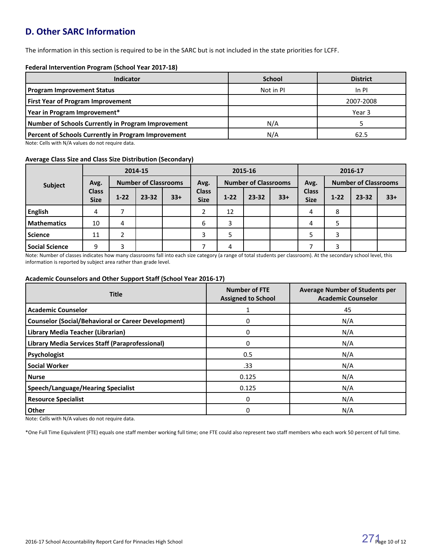# **D. Other SARC Information**

The information in this section is required to be in the SARC but is not included in the state priorities for LCFF.

#### **Federal Intervention Program (School Year 2017-18)**

| <b>Indicator</b>                                           | <b>School</b> | <b>District</b> |
|------------------------------------------------------------|---------------|-----------------|
| <b>Program Improvement Status</b>                          | Not in PI     | $In$ PI         |
| <b>First Year of Program Improvement</b>                   |               | 2007-2008       |
| Year in Program Improvement*                               |               | Year 3          |
| Number of Schools Currently in Program Improvement         | N/A           |                 |
| <b>Percent of Schools Currently in Program Improvement</b> | N/A           | 62.5            |

Note: Cells with N/A values do not require data.

# **Average Class Size and Class Size Distribution (Secondary)**

|                       | 2014-15                     |                             |       | 2015-16 |                             |          |                             | 2016-17 |                             |                             |       |       |
|-----------------------|-----------------------------|-----------------------------|-------|---------|-----------------------------|----------|-----------------------------|---------|-----------------------------|-----------------------------|-------|-------|
| Avg.<br>Subject       |                             | <b>Number of Classrooms</b> |       | Avg.    |                             |          | <b>Number of Classrooms</b> |         |                             | <b>Number of Classrooms</b> |       |       |
|                       | <b>Class</b><br><b>Size</b> | $1 - 22$                    | 23-32 | $33+$   | <b>Class</b><br><b>Size</b> | $1 - 22$ | $23 - 32$                   | $33+$   | <b>Class</b><br><b>Size</b> | $1 - 22$                    | 23-32 | $33+$ |
| English               | 4                           |                             |       |         |                             | 12       |                             |         | 4                           | 8                           |       |       |
| Mathematics           | 10                          | 4                           |       |         | 6                           | 3        |                             |         | 4                           |                             |       |       |
| <b>Science</b>        | 11                          | C.                          |       |         | 3                           |          |                             |         |                             | 3                           |       |       |
| <b>Social Science</b> | q                           | 3                           |       |         |                             | 4        |                             |         |                             | 3                           |       |       |

Note: Number of classes indicates how many classrooms fall into each size category (a range of total students per classroom). At the secondary school level, this information is reported by subject area rather than grade level.

#### **Academic Counselors and Other Support Staff (School Year 2016-17)**

| <b>Title</b>                                               | <b>Number of FTE</b><br><b>Assigned to School</b> | <b>Average Number of Students per</b><br><b>Academic Counselor</b> |
|------------------------------------------------------------|---------------------------------------------------|--------------------------------------------------------------------|
| <b>Academic Counselor</b>                                  |                                                   | 45                                                                 |
| <b>Counselor (Social/Behavioral or Career Development)</b> | 0                                                 | N/A                                                                |
| Library Media Teacher (Librarian)                          | 0                                                 | N/A                                                                |
| <b>Library Media Services Staff (Paraprofessional)</b>     | $\Omega$                                          | N/A                                                                |
| Psychologist                                               | 0.5                                               | N/A                                                                |
| <b>Social Worker</b>                                       | .33                                               | N/A                                                                |
| <b>Nurse</b>                                               | 0.125                                             | N/A                                                                |
| Speech/Language/Hearing Specialist                         | 0.125                                             | N/A                                                                |
| <b>Resource Specialist</b>                                 | $\Omega$                                          | N/A                                                                |
| Other<br>$\cdot$ $\cdot$ $\cdot$ $\cdot$                   | 0                                                 | N/A                                                                |

Note: Cells with N/A values do not require data.

\*One Full Time Equivalent (FTE) equals one staff member working full time; one FTE could also represent two staff members who each work 50 percent of full time.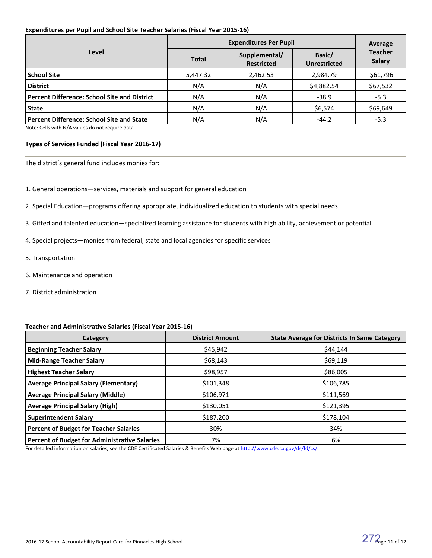#### **Expenditures per Pupil and School Site Teacher Salaries (Fiscal Year 2015-16)**

|                                                     | <b>Expenditures Per Pupil</b> | Average                            |                               |                                 |
|-----------------------------------------------------|-------------------------------|------------------------------------|-------------------------------|---------------------------------|
| Level                                               | <b>Total</b>                  | Supplemental/<br><b>Restricted</b> | Basic/<br><b>Unrestricted</b> | <b>Teacher</b><br><b>Salary</b> |
| School Site                                         | 5,447.32                      | 2,462.53                           | 2,984.79                      | \$61,796                        |
| <b>District</b>                                     | N/A                           | N/A                                | \$4,882.54                    | \$67,532                        |
| <b>Percent Difference: School Site and District</b> | N/A                           | N/A                                | $-38.9$                       | $-5.3$                          |
| <b>State</b>                                        | N/A                           | N/A                                | \$6,574                       | \$69,649                        |
| Percent Difference: School Site and State           | N/A                           | N/A                                | $-44.2$                       | $-5.3$                          |

Note: Cells with N/A values do not require data.

#### **Types of Services Funded (Fiscal Year 2016-17)**

The district's general fund includes monies for:

- 1. General operations—services, materials and support for general education
- 2. Special Education—programs offering appropriate, individualized education to students with special needs
- 3. Gifted and talented education—specialized learning assistance for students with high ability, achievement or potential
- 4. Special projects—monies from federal, state and local agencies for specific services
- 5. Transportation
- 6. Maintenance and operation
- 7. District administration

#### **Teacher and Administrative Salaries (Fiscal Year 2015-16)**

| Category                                             | <b>District Amount</b> | <b>State Average for Districts In Same Category</b> |
|------------------------------------------------------|------------------------|-----------------------------------------------------|
| <b>Beginning Teacher Salary</b>                      | \$45,942               | \$44,144                                            |
| <b>Mid-Range Teacher Salary</b>                      | \$68,143               | \$69,119                                            |
| <b>Highest Teacher Salary</b>                        | \$98,957               | \$86,005                                            |
| <b>Average Principal Salary (Elementary)</b>         | \$101,348              | \$106,785                                           |
| <b>Average Principal Salary (Middle)</b>             | \$106,971              | \$111,569                                           |
| <b>Average Principal Salary (High)</b>               | \$130,051              | \$121,395                                           |
| <b>Superintendent Salary</b>                         | \$187,200              | \$178,104                                           |
| <b>Percent of Budget for Teacher Salaries</b>        | 30%                    | 34%                                                 |
| <b>Percent of Budget for Administrative Salaries</b> | 7%                     | 6%                                                  |

For detailed information on salaries, see the CDE Certificated Salaries & Benefits Web page at [http://www.cde.ca.gov/ds/fd/cs/.](http://www.cde.ca.gov/ds/fd/cs/)